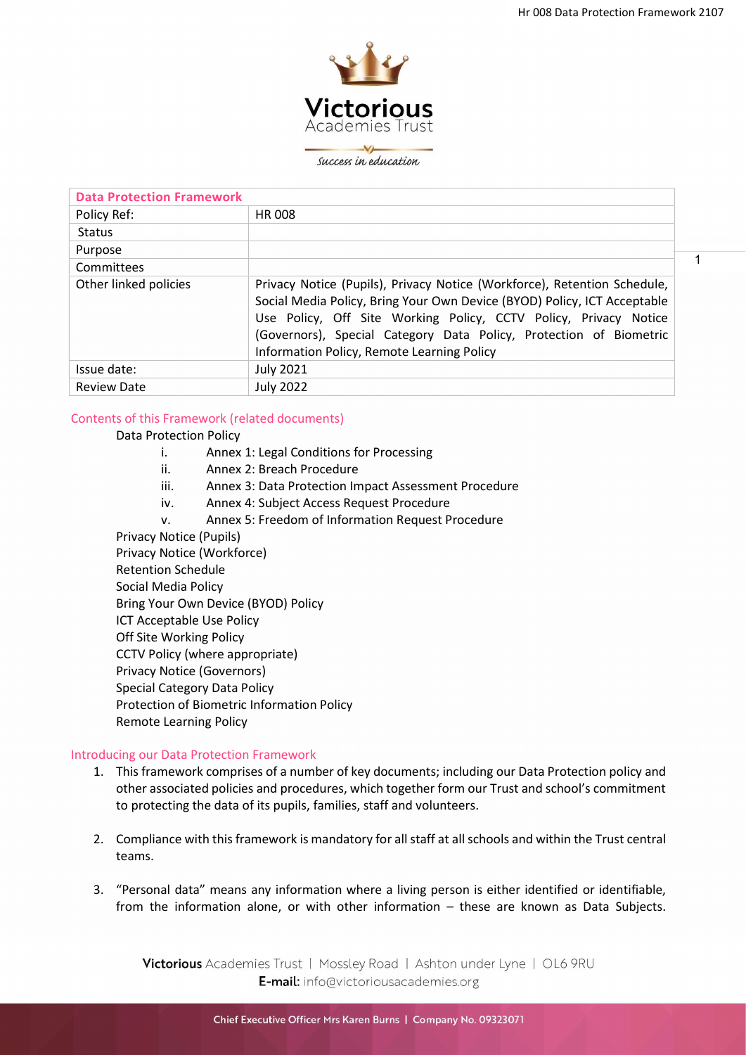1



success in education

| <b>Data Protection Framework</b> |                                                                                                                                                                                                                                                                                                                                              |
|----------------------------------|----------------------------------------------------------------------------------------------------------------------------------------------------------------------------------------------------------------------------------------------------------------------------------------------------------------------------------------------|
| Policy Ref:                      | <b>HR 008</b>                                                                                                                                                                                                                                                                                                                                |
| <b>Status</b>                    |                                                                                                                                                                                                                                                                                                                                              |
| Purpose                          |                                                                                                                                                                                                                                                                                                                                              |
| Committees                       |                                                                                                                                                                                                                                                                                                                                              |
| Other linked policies            | Privacy Notice (Pupils), Privacy Notice (Workforce), Retention Schedule,<br>Social Media Policy, Bring Your Own Device (BYOD) Policy, ICT Acceptable<br>Use Policy, Off Site Working Policy, CCTV Policy, Privacy Notice<br>(Governors), Special Category Data Policy, Protection of Biometric<br>Information Policy, Remote Learning Policy |
| Issue date:                      | <b>July 2021</b>                                                                                                                                                                                                                                                                                                                             |
| <b>Review Date</b>               | <b>July 2022</b>                                                                                                                                                                                                                                                                                                                             |

# Contents of this Framework (related documents)

## Data Protection Policy

- i. Annex 1: Legal Conditions for Processing
- ii. Annex 2: Breach Procedure
- iii. Annex 3: Data Protection Impact Assessment Procedure
- iv. Annex 4: Subject Access Request Procedure
- v. Annex 5: Freedom of Information Request Procedure
- Privacy Notice (Pupils)

Privacy Notice (Workforce) Retention Schedule Social Media Policy Bring Your Own Device (BYOD) Policy ICT Acceptable Use Policy Off Site Working Policy CCTV Policy (where appropriate) Privacy Notice (Governors) Special Category Data Policy Protection of Biometric Information Policy Remote Learning Policy

### Introducing our Data Protection Framework

- 1. This framework comprises of a number of key documents; including our Data Protection policy and other associated policies and procedures, which together form our Trust and school's commitment to protecting the data of its pupils, families, staff and volunteers.
- 2. Compliance with this framework is mandatory for all staff at all schools and within the Trust central teams.
- 3. "Personal data" means any information where a living person is either identified or identifiable, from the information alone, or with other information – these are known as Data Subjects.

Victorious Academies Trust | Mossley Road | Ashton under Lyne | OL6 9RU E-mail: info@victoriousacademies.org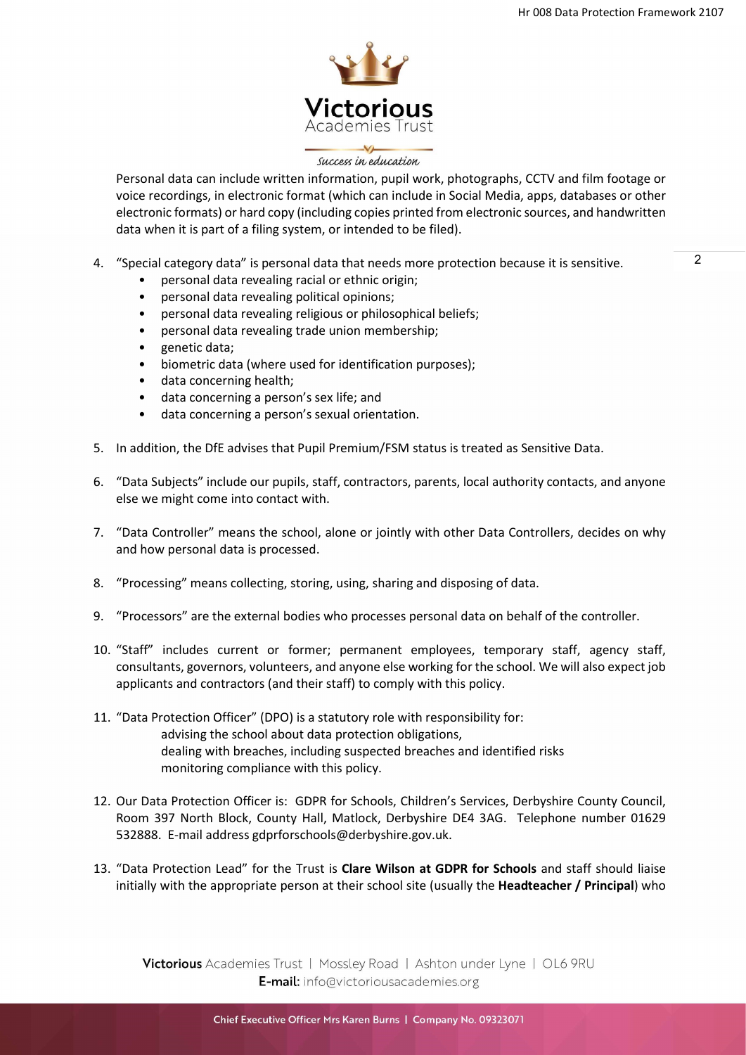

### success in education

Personal data can include written information, pupil work, photographs, CCTV and film footage or voice recordings, in electronic format (which can include in Social Media, apps, databases or other electronic formats) or hard copy (including copies printed from electronic sources, and handwritten data when it is part of a filing system, or intended to be filed).

- 4. "Special category data" is personal data that needs more protection because it is sensitive.
	- personal data revealing racial or ethnic origin;
	- personal data revealing political opinions;
	- personal data revealing religious or philosophical beliefs;
	- personal data revealing trade union membership;
	- genetic data;
	- biometric data (where used for identification purposes);
	- data concerning health;
	- data concerning a person's sex life; and
	- data concerning a person's sexual orientation.
- 5. In addition, the DfE advises that Pupil Premium/FSM status is treated as Sensitive Data.
- 6. "Data Subjects" include our pupils, staff, contractors, parents, local authority contacts, and anyone else we might come into contact with.
- 7. "Data Controller" means the school, alone or jointly with other Data Controllers, decides on why and how personal data is processed.
- 8. "Processing" means collecting, storing, using, sharing and disposing of data.
- 9. "Processors" are the external bodies who processes personal data on behalf of the controller.
- 10. "Staff" includes current or former; permanent employees, temporary staff, agency staff, consultants, governors, volunteers, and anyone else working for the school. We will also expect job applicants and contractors (and their staff) to comply with this policy.
- 11. "Data Protection Officer" (DPO) is a statutory role with responsibility for: advising the school about data protection obligations, dealing with breaches, including suspected breaches and identified risks monitoring compliance with this policy.
- 12. Our Data Protection Officer is: GDPR for Schools, Children's Services, Derbyshire County Council, Room 397 North Block, County Hall, Matlock, Derbyshire DE4 3AG. Telephone number 01629 532888. E-mail address gdprforschools@derbyshire.gov.uk.
- 13. "Data Protection Lead" for the Trust is Clare Wilson at GDPR for Schools and staff should liaise initially with the appropriate person at their school site (usually the **Headteacher / Principal**) who

Victorious Academies Trust | Mossley Road | Ashton under Lyne | OL6 9RU E-mail: info@victoriousacademies.org